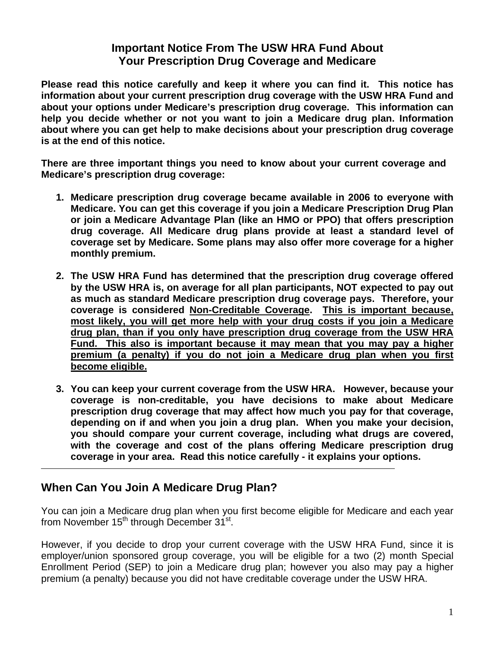## **Important Notice From The USW HRA Fund About Your Prescription Drug Coverage and Medicare**

**Please read this notice carefully and keep it where you can find it. This notice has information about your current prescription drug coverage with the USW HRA Fund and about your options under Medicare's prescription drug coverage. This information can help you decide whether or not you want to join a Medicare drug plan. Information about where you can get help to make decisions about your prescription drug coverage is at the end of this notice.** 

**There are three important things you need to know about your current coverage and Medicare's prescription drug coverage:** 

- **1. Medicare prescription drug coverage became available in 2006 to everyone with Medicare. You can get this coverage if you join a Medicare Prescription Drug Plan or join a Medicare Advantage Plan (like an HMO or PPO) that offers prescription drug coverage. All Medicare drug plans provide at least a standard level of coverage set by Medicare. Some plans may also offer more coverage for a higher monthly premium.**
- **2. The USW HRA Fund has determined that the prescription drug coverage offered by the USW HRA is, on average for all plan participants, NOT expected to pay out as much as standard Medicare prescription drug coverage pays. Therefore, your coverage is considered Non-Creditable Coverage. This is important because, most likely, you will get more help with your drug costs if you join a Medicare drug plan, than if you only have prescription drug coverage from the USW HRA Fund. This also is important because it may mean that you may pay a higher premium (a penalty) if you do not join a Medicare drug plan when you first become eligible.**
- **3. You can keep your current coverage from the USW HRA. However, because your coverage is non-creditable, you have decisions to make about Medicare prescription drug coverage that may affect how much you pay for that coverage, depending on if and when you join a drug plan. When you make your decision, you should compare your current coverage, including what drugs are covered, with the coverage and cost of the plans offering Medicare prescription drug coverage in your area. Read this notice carefully - it explains your options.**

# **When Can You Join A Medicare Drug Plan?**

You can join a Medicare drug plan when you first become eligible for Medicare and each year from November  $15<sup>th</sup>$  through December  $31<sup>st</sup>$ .

However, if you decide to drop your current coverage with the USW HRA Fund, since it is employer/union sponsored group coverage, you will be eligible for a two (2) month Special Enrollment Period (SEP) to join a Medicare drug plan; however you also may pay a higher premium (a penalty) because you did not have creditable coverage under the USW HRA.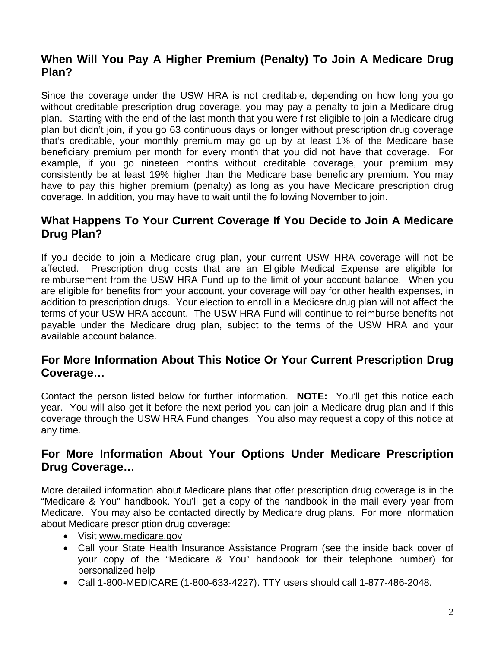# **When Will You Pay A Higher Premium (Penalty) To Join A Medicare Drug Plan?**

Since the coverage under the USW HRA is not creditable, depending on how long you go without creditable prescription drug coverage, you may pay a penalty to join a Medicare drug plan. Starting with the end of the last month that you were first eligible to join a Medicare drug plan but didn't join, if you go 63 continuous days or longer without prescription drug coverage that's creditable, your monthly premium may go up by at least 1% of the Medicare base beneficiary premium per month for every month that you did not have that coverage. For example, if you go nineteen months without creditable coverage, your premium may consistently be at least 19% higher than the Medicare base beneficiary premium. You may have to pay this higher premium (penalty) as long as you have Medicare prescription drug coverage. In addition, you may have to wait until the following November to join.

### **What Happens To Your Current Coverage If You Decide to Join A Medicare Drug Plan?**

If you decide to join a Medicare drug plan, your current USW HRA coverage will not be affected. Prescription drug costs that are an Eligible Medical Expense are eligible for reimbursement from the USW HRA Fund up to the limit of your account balance. When you are eligible for benefits from your account, your coverage will pay for other health expenses, in addition to prescription drugs. Your election to enroll in a Medicare drug plan will not affect the terms of your USW HRA account. The USW HRA Fund will continue to reimburse benefits not payable under the Medicare drug plan, subject to the terms of the USW HRA and your available account balance.

## **For More Information About This Notice Or Your Current Prescription Drug Coverage…**

Contact the person listed below for further information. **NOTE:** You'll get this notice each year. You will also get it before the next period you can join a Medicare drug plan and if this coverage through the USW HRA Fund changes. You also may request a copy of this notice at any time.

#### **For More Information About Your Options Under Medicare Prescription Drug Coverage…**

More detailed information about Medicare plans that offer prescription drug coverage is in the "Medicare & You" handbook. You'll get a copy of the handbook in the mail every year from Medicare. You may also be contacted directly by Medicare drug plans. For more information about Medicare prescription drug coverage:

- Visit www.medicare.gov
- Call your State Health Insurance Assistance Program (see the inside back cover of your copy of the "Medicare & You" handbook for their telephone number) for personalized help
- Call 1-800-MEDICARE (1-800-633-4227). TTY users should call 1-877-486-2048.